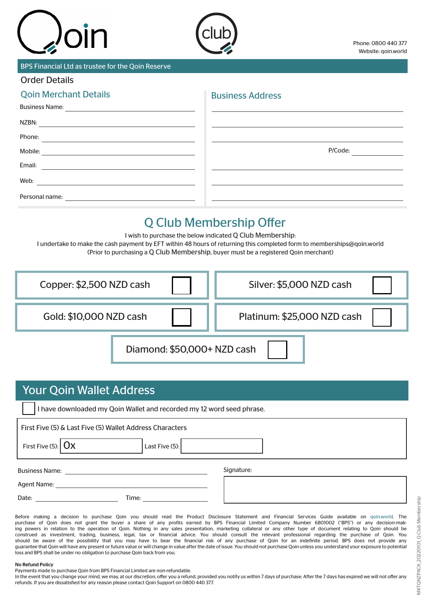

BPS Financial Ltd as trustee for the Qoin Reserve

## Order Details

| <b>Qoin Merchant Details</b>                                                                                                     | <b>Business Address</b> |
|----------------------------------------------------------------------------------------------------------------------------------|-------------------------|
| <b>Business Name:</b><br><u> 1980 - Andrea State Barbara, amerikan per</u>                                                       |                         |
| NZBN:                                                                                                                            |                         |
| Phone:                                                                                                                           |                         |
| Mobile:<br><u> 1989 - Andrea Station Barbara, actor a component de la componentación de la componentación de la componentaci</u> | P/Code:                 |
| Email:                                                                                                                           |                         |
| Web:                                                                                                                             |                         |
| Personal name:                                                                                                                   |                         |

# Q Club Membership Offer

I wish to purchase the below indicated Q Club Membership: I undertake to make the cash payment by EFT within 48 hours of returning this completed form to memberships@qoin.world (Prior to purchasing a Q Club Membership, buyer must be a registered Qoin merchant)

| Copper: \$2,500 NZD cash    | Silver: \$5,000 NZD cash    |
|-----------------------------|-----------------------------|
| Gold: \$10,000 NZD cash     | Platinum: \$25,000 NZD cash |
| Diamond: \$50,000+ NZD cash |                             |

# Your Qoin Wallet Address

I have downloaded my Qoin Wallet and recorded my 12 word seed phrase.

Business Name: Signature: First Five (5) & Last Five (5) Wallet Address Characters First Five (5):  $\vert$  **OX** Last Five (5):

Agent Name:

Date: Time:

Before making a decision to purchase Qoin you should read the Product Disclosure Statement and Financial Services Guide available on qoin.world. The purchase of Qoin does not grant the buyer a share of any profits earned by BPS Financial Limited Company Number 6801002 ("BPS") or any decision-making powers in relation to the operation of Qoin. Nothing in any sales presentation, marketing collateral or any other type of document relating to Qoin should be construed as investment, trading, business, legal, tax or financial advice. You should consult the relevant professional regarding the purchase of Qoin. You should be aware of the possibility that you may have to bear the financial risk of any purchase of Qoin for an indefinite period. BPS does not provide any guarantee that Qoin will have any present or future value or will change in value after the date of issue. You should not purchase Qoin unless you understand your exposure to potential loss and BPS shall be under no obligation to purchase Qoin back from you.

### No Refund Policy

Payments made to purchase Qoin from BPS Financial Limited are non-refundable.

In the event that you change your mind, we may, at our discretion, offer you a refund, provided you notify us within 7 days of purchase. After the 7 days has expired we will not offer any refunds. If you are dissatisfied for any reason please contact Qoin Support on 0800 440 377.